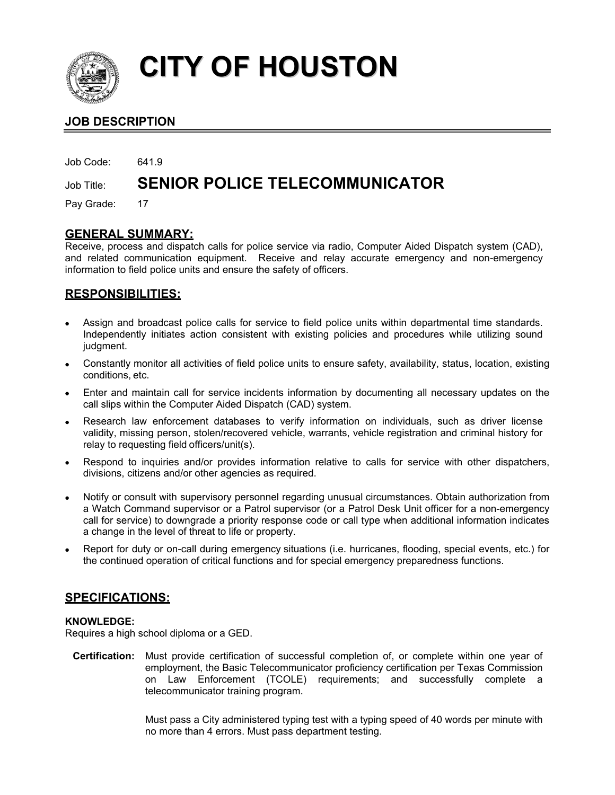

# **CITY OF HOUSTON**

# **JOB DESCRIPTION**

Job Code: 641.9

# Job Title: **SENIOR POLICE TELECOMMUNICATOR**

Pay Grade: 17

## **GENERAL SUMMARY:**

Receive, process and dispatch calls for police service via radio, Computer Aided Dispatch system (CAD), and related communication equipment. Receive and relay accurate emergency and non-emergency information to field police units and ensure the safety of officers.

# **RESPONSIBILITIES:**

- Assign and broadcast police calls for service to field police units within departmental time standards. Independently initiates action consistent with existing policies and procedures while utilizing sound judgment.
- Constantly monitor all activities of field police units to ensure safety, availability, status, location, existing conditions, etc.
- Enter and maintain call for service incidents information by documenting all necessary updates on the call slips within the Computer Aided Dispatch (CAD) system.
- Research law enforcement databases to verify information on individuals, such as driver license validity, missing person, stolen/recovered vehicle, warrants, vehicle registration and criminal history for relay to requesting field officers/unit(s).
- Respond to inquiries and/or provides information relative to calls for service with other dispatchers, divisions, citizens and/or other agencies as required.
- Notify or consult with supervisory personnel regarding unusual circumstances. Obtain authorization from a Watch Command supervisor or a Patrol supervisor (or a Patrol Desk Unit officer for a non-emergency call for service) to downgrade a priority response code or call type when additional information indicates a change in the level of threat to life or property.
- Report for duty or on-call during emergency situations (i.e. hurricanes, flooding, special events, etc.) for the continued operation of critical functions and for special emergency preparedness functions.

### **SPECIFICATIONS:**

#### **KNOWLEDGE:**

Requires a high school diploma or a GED.

**Certification:** Must provide certification of successful completion of, or complete within one year of employment, the Basic Telecommunicator proficiency certification per Texas Commission on Law Enforcement (TCOLE) requirements; and successfully complete a telecommunicator training program.

> Must pass a City administered typing test with a typing speed of 40 words per minute with no more than 4 errors. Must pass department testing.